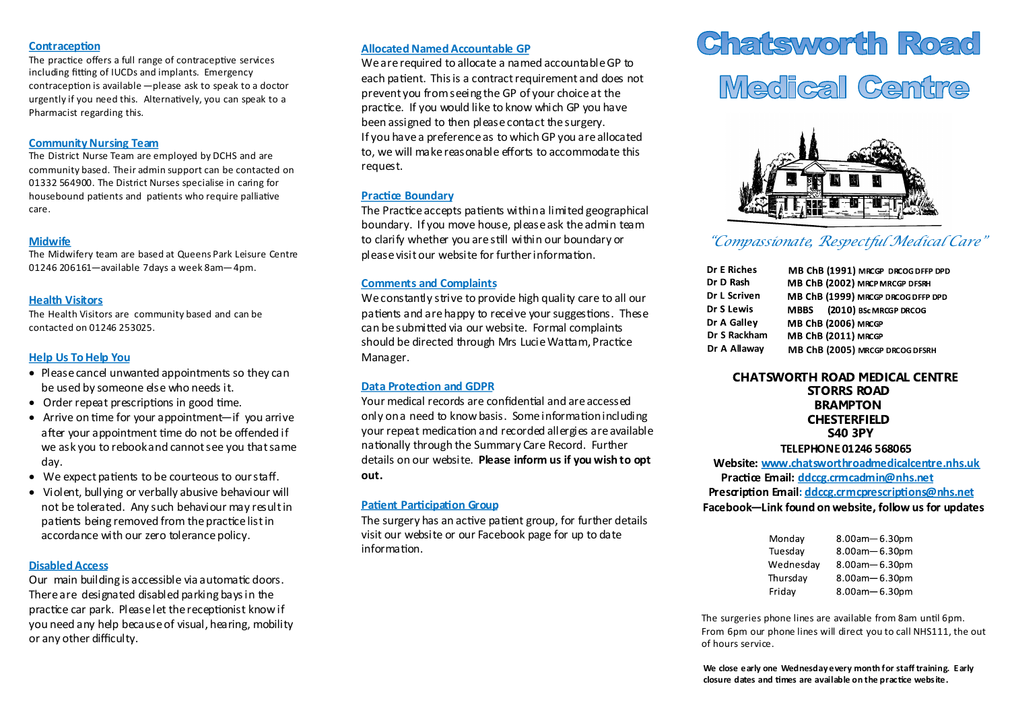#### **Contraception**

The practice offers a full range of contraceptive services including fitting of IUCDs and implants. Emergency contraception is available —please ask to speak to a doctor urgently if you need this. Alternatively, you can speak to a Pharmacist regarding this.

## **Community Nursing Team**

The District Nurse Team are employed by DCHS and are community based. Their admin support can be contacted on 01332 564900. The District Nurses specialise in caring for housebound patients and patients who require palliative care.

# **Midwife**

The Midwifery team are based at Queens Park Leisure Centre 01246 206161—available 7days a week 8am—4pm.

## **Health Visitors**

The Health Visitors are community based and can be contacted on 01246 253025.

# **Help Us To Help You**

- Please cancel unwanted appointments so they can be used by someone else who needs it.
- Order repeat prescriptions in good time.
- Arrive on time for your appointment—if you arrive after your appointment time do not be offended if we ask you to rebook and cannot see you that same day.
- We expect patients to be courteous to our staff.
- Violent, bullying or verbally abusive behaviour will not be tolerated. Any such behaviour may result in patients being removed from the practice list in accordance with our zero tolerance policy.

#### **Disabled Access**

Our main building is accessible via automatic doors. There are designated disabled parking bays in the practice car park. Please let the receptionist know if you need any help because of visual, hearing, mobility or any other difficulty.

# **Allocated Named Accountable GP**

We are required to allocate a named accountable GP to each patient. This is a contract requirement and does not prevent you from seeing the GP of your choice at the practice. If you would like to know which GP you have been assigned to then please contact the surgery. If you have a preference as to which GP you are allocated to, we will make reasonable efforts to accommodate this request.

## **Practice Boundary**

The Practice accepts patients within a limited geographical boundary. If you move house, please ask the admin team to clarify whether you are still within our boundary or please visit our website for further information.

#### **Comments and Complaints**

We constantly strive to provide high quality care to all our patients and are happy to receive your suggestions. These can be submitted via our website. Formal complaints should be directed through Mrs Lucie Wattam, Practice Manager.

## **Data Protection and GDPR**

Your medical records are confidential and are accessed only on a need to know basis. Some information including your repeat medication and recorded allergies are available nationally through the Summary Care Record. Further details on our website. **Please inform us if you wish to opt out.** 

## **Patient Participation Group**

The surgery has an active patient group, for further details visit our website or our Facebook page for up to date information.

# **Chatsworth Road**

# Medical Centre



# *"Compassionate, Respectful Medical Care"*

| <b>Dr E Riches</b> | MB ChB (1991) MRCGP DRCOG DFFP DPI |
|--------------------|------------------------------------|
| Dr D Rash          | MB ChB (2002) MRCP MRCGP DFSRH     |
| Dr L Scriven       | MB ChB (1999) MRCGP DRCOG DFFP DPD |
| Dr S Lewis         | MBBS (2010) BSc MRCGP DRCOG        |
| Dr A Galley        | <b>MB ChB (2006) MRCGP</b>         |
| Dr S Rackham       | MB ChB (2011) MRCGP                |
| Dr A Allaway       | MB ChB (2005) MRCGP DRCOG DFSRH    |
|                    |                                    |

# **CHATSWORTH ROAD MEDICAL CENTRE STORRS ROAD BRAMPTON CHESTERFIELD S40 3PY**

#### TELEPHONE 01246 568065

Website: www.chatsworthroadmedicalcentre.nhs.uk Practice Email: ddccg.crmcadmin@nhs.net Prescription Email: ddccg.crmcprescriptions@nhs.net Facebook-Link found on website, follow us for updates

| Monday    | 8.00am-6.30pm |
|-----------|---------------|
| Tuesday   | 8.00am-6.30pm |
| Wednesday | 8.00am-6.30pm |
| Thursdav  | 8.00am-6.30pm |
| Friday    | 8.00am-6.30pm |

The surgeries phone lines are available from 8am until 6pm. From 6pm our phone lines will direct you to call NHS111, the out of hours service.

**We close early one Wednesday every month for staff training. Early closure dates and times are available on the practice website.**